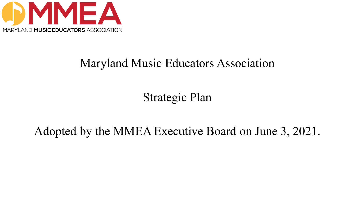

## Maryland Music Educators Association

Strategic Plan

## Adopted by the MMEA Executive Board on June 3, 2021.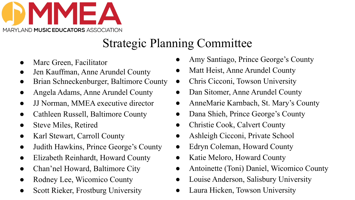

# Strategic Planning Committee

- Marc Green, Facilitator
- Jen Kauffman, Anne Arundel County
- Brian Schneckenburger, Baltimore County
- Angela Adams, Anne Arundel County
- JJ Norman, MMEA executive director
- Cathleen Russell, Baltimore County
- Steve Miles, Retired
- Karl Stewart, Carroll County
- Judith Hawkins, Prince George's County
- Elizabeth Reinhardt, Howard County
- Chan'nel Howard, Baltimore City
- Rodney Lee, Wicomico County
- **Scott Rieker, Frostburg University**
- Amy Santiago, Prince George's County
- Matt Heist, Anne Arundel County
- Chris Cicconi, Towson University
- Dan Sitomer, Anne Arundel County
- AnneMarie Karnbach, St. Mary's County
- Dana Shieh, Prince George's County
- Christie Cook, Calvert County
- Ashleigh Cicconi, Private School
- Edryn Coleman, Howard County
- Katie Meloro, Howard County
- Antoinette (Toni) Daniel, Wicomico County
- Louise Anderson, Salisbury University
- Laura Hicken, Towson University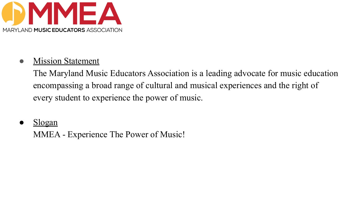

#### • Mission Statement

The Maryland Music Educators Association is a leading advocate for music education encompassing a broad range of cultural and musical experiences and the right of every student to experience the power of music.

Slogan

MMEA - Experience The Power of Music!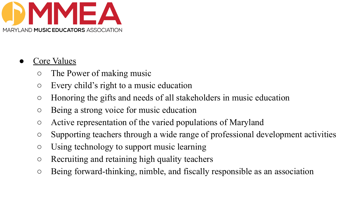

### Core Values

- The Power of making music
- Every child's right to a music education
- Honoring the gifts and needs of all stakeholders in music education
- Being a strong voice for music education
- Active representation of the varied populations of Maryland
- Supporting teachers through a wide range of professional development activities
- Using technology to support music learning
- Recruiting and retaining high quality teachers
- Being forward-thinking, nimble, and fiscally responsible as an association